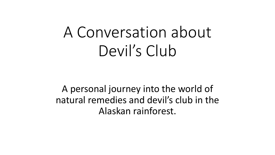# A Conversation about Devil's Club

A personal journey into the world of natural remedies and devil's club in the Alaskan rainforest.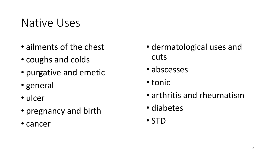## Native Uses

- ailments of the chest
- coughs and colds
- purgative and emetic
- general
- ulcer
- pregnancy and birth
- cancer
- dermatological uses and cuts
- abscesses
- tonic
- arthritis and rheumatism
- diabetes
- STD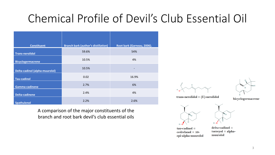# Chemical Profile of Devil's Club Essential Oil

| <b>Constituent</b>                    | <b>Branch bark (author's distillation)</b> | Root bark (Garneau, 2006). |
|---------------------------------------|--------------------------------------------|----------------------------|
| <b>Trans-nerolidol</b>                | 59.6%                                      | 54%                        |
| <b>Bicyclogermacrene</b>              | 10.5%                                      | 4%                         |
| <b>Delta-cadinol (alpha-muurolol)</b> | 10.5%                                      | $\overline{a}$             |
| <b>Tau-cadinol</b>                    | 0.02                                       | 16.9%                      |
| Gamma-cadinene                        | 2.7%                                       | 6%                         |
| Delta-cadinene                        | 2.4%                                       | 4%                         |
| <b>Spathulenol</b>                    | 2.2%                                       | 2.6%                       |

A comparison of the major constituents of the branch and root bark devil's club essential oils





trans-nerolidol =  $(E)$ -nerolidol





 $tau$ -cadinol =  $cedrelanol = 10$ epi-alpha-muurolol



 $delta$ -cadinol =  $torreyol = alpha$ muurolol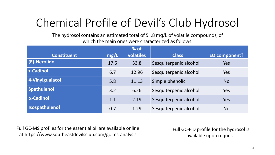# Chemical Profile of Devil's Club Hydrosol

The hydrosol contains an estimated total of 51.8 mg/L of volatile compounds, of which the main ones were characterized as follows:

|                    |      | $%$ of    |                        |               |
|--------------------|------|-----------|------------------------|---------------|
| <b>Constituent</b> | mg/L | volatiles | <b>Class</b>           | EO component? |
| (E)-Nerolidol      | 17.5 | 33.8      | Sesquiterpenic alcohol | Yes           |
| <b>T-Cadinol</b>   | 6.7  | 12.96     | Sesquiterpenic alcohol | <b>Yes</b>    |
| 4-Vinylguaiacol    | 5.8  | 11.13     | Simple phenolic        | <b>No</b>     |
| <b>Spathulenol</b> | 3.2  | 6.26      | Sesquiterpenic alcohol | Yes           |
| $\alpha$ -Cadinol  | 1.1  | 2.19      | Sesquiterpenic alcohol | Yes           |
| Isospathulenol     | 0.7  | 1.29      | Sesquiterpenic alcohol | <b>No</b>     |

Full GC-MS profiles for the essential oil are available online at https://www.southeastdevilsclub.com/gc-ms-analysis

Full GC-FID profile for the hydrosol is available upon request.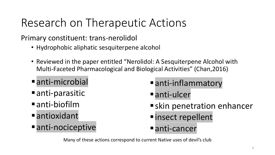# Research on Therapeutic Actions

Primary constituent: trans-nerolidol

- Hydrophobic aliphatic sesquiterpene alcohol
- Reviewed in the paper entitled "Nerolidol: A Sesquiterpene Alcohol with Multi-Faceted Pharmacological and Biological Activities" (Chan,2016)
- anti-microbial
- $\blacksquare$  anti-parasitic
- anti-biofilm
- **<u>■antioxidant</u>**
- anti-nociceptive
- anti-inflammatory
- anti-ulcer
- **E**skin penetration enhancer
- *<u>Insect repellent</u>*
- anti-cancer

Many of these actions correspond to current Native uses of devil's club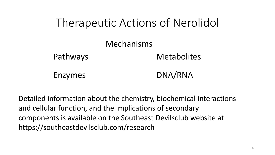

Detailed information about the chemistry, biochemical interactions and cellular function, and the implications of secondary components is available on the Southeast Devilsclub website at https://southeastdevilsclub.com/research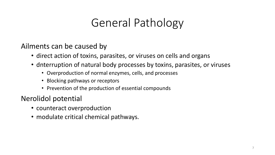## General Pathology

Ailments can be caused by

- direct action of toxins, parasites, or viruses on cells and organs
- dnterruption of natural body processes by toxins, parasites, or viruses
	- Overproduction of normal enzymes, cells, and processes
	- Blocking pathways or receptors
	- Prevention of the production of essential compounds

### Nerolidol potential

- counteract overproduction
- modulate critical chemical pathways.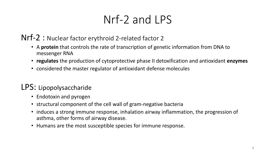# Nrf-2 and LPS

### Nrf-2 : Nuclear factor erythroid 2-related factor 2

- A **protein** that controls the rate of transcription of genetic information from DNA to messenger RNA
- **regulates** the production of cytoprotective phase II detoxification and antioxidant **enzymes**
- considered the master regulator of antioxidant defense molecules

### LPS: Lipopolysaccharide

- Endotoxin and pyrogen
- structural component of the cell wall of gram-negative bacteria
- induces a strong immune response, inhalation airway inflammation, the progression of asthma, other forms of airway disease.
- Humans are the most susceptible species for immune response.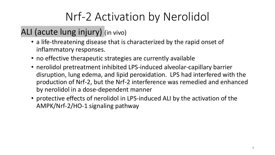# Nrf-2 Activation by Nerolidol

### ALI (acute lung injury) (in vivo)

- a life-threatening disease that is characterized by the rapid onset of inflammatory responses.
- no effective therapeutic strategies are currently available
- nerolidol pretreatment inhibited LPS-induced alveolar-capillary barrier disruption, lung edema, and lipid peroxidation. LPS had interfered with the production of Nrf-2, but the Nrf-2 interference was remedied and enhanced by nerolidol in a dose-dependent manner
- protective effects of nerolidol in LPS-induced ALI by the activation of the AMPK/Nrf-2/HO-1 signaling pathway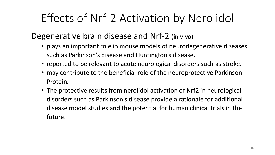# Effects of Nrf-2 Activation by Nerolidol

### Degenerative brain disease and Nrf-2 (in vivo)

- plays an important role in mouse models of neurodegenerative diseases such as Parkinson's disease and Huntington's disease.
- reported to be relevant to acute neurological disorders such as stroke.
- may contribute to the beneficial role of the neuroprotective Parkinson Protein.
- The protective results from nerolidol activation of Nrf2 in neurological disorders such as Parkinson's disease provide a rationale for additional disease model studies and the potential for human clinical trials in the future.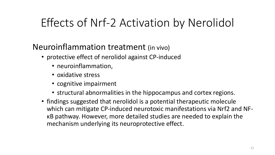## Effects of Nrf-2 Activation by Nerolidol

### Neuroinflammation treatment (in vivo)

- protective effect of nerolidol against CP-induced
	- neuroinflammation,
	- oxidative stress
	- cognitive impairment
	- structural abnormalities in the hippocampus and cortex regions.
- findings suggested that nerolidol is a potential therapeutic molecule which can mitigate CP-induced neurotoxic manifestations via Nrf2 and NFκB pathway. However, more detailed studies are needed to explain the mechanism underlying its neuroprotective effect.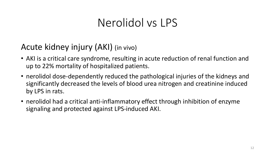## Nerolidol vs LPS

### Acute kidney injury (AKI) (in vivo)

- AKI is a critical care syndrome, resulting in acute reduction of renal function and up to 22% mortality of hospitalized patients.
- nerolidol dose-dependently reduced the pathological injuries of the kidneys and significantly decreased the levels of blood urea nitrogen and creatinine induced by LPS in rats.
- nerolidol had a critical anti-inflammatory effect through inhibition of enzyme signaling and protected against LPS-induced AKI.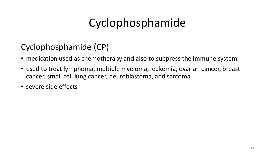# Cyclophosphamide

### Cyclophosphamide (CP)

- medication used as chemotherapy and also to suppress the immune system
- used to treat lymphoma, multiple myeloma, leukemia, ovarian cancer, breast cancer, small cell lung cancer, neuroblastoma, and sarcoma.
- severe side effects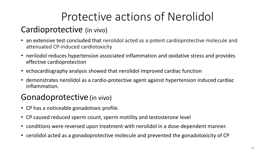# Protective actions of Nerolidol

### Cardioprotective (in vivo)

- an extensive test concluded that nerolidol acted as a potent cardioprotective molecule and attenuated CP-induced cardiotoxicity
- nerilodol reduces hypertension associated inflammation and oxidative stress and provides effective cardioprotection
- echocardiography analysis showed that nerolidol improved cardiac function
- demonstrates nerolidol as a cardio-protective agent against hypertension induced cardiac inflammation.

### Gonadoprotective (in vivo)

- CP has a noticeable gonadotoxic profile.
- CP caused reduced sperm count, sperm motility and testosterone level
- conditions were reversed upon treatment with nerolidol in a dose-dependent manner.
- cerolidol acted as a gonadoprotective molecule and prevented the gonadotoxicity of CP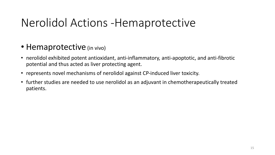## Nerolidol Actions -Hemaprotective

- Hemaprotective (in vivo)
- nerolidol exhibited potent antioxidant, anti-inflammatory, anti-apoptotic, and anti-fibrotic potential and thus acted as liver protecting agent.
- represents novel mechanisms of nerolidol against CP-induced liver toxicity.
- further studies are needed to use nerolidol as an adjuvant in chemotherapeutically treated patients.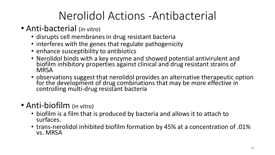## Nerolidol Actions -Antibacterial

- Anti-bacterial (in vitro)
	- disrupts cell membranes in drug resistant bacteria
	- interferes with the genes that regulate pathogenicity
	- enhance susceptibility to antibiotics
	- Nerolidol binds with a key enzyme and showed potential antivirulent and biofilm inhibitory properties against clinical and drug resistant strains of **MRSA**
	- observations suggest that nerolidol provides an alternative therapeutic option for the development of drug combinations that may be more effective in controlling multi-drug resistant bacteria
- Anti-biofilm (in vitro)
	- biofilm is a film that is produced by bacteria and allows it to attach to surfaces.
	- trans-nerolidol inhibited biofilm formation by 45% at a concentration of .01% vs. MRSA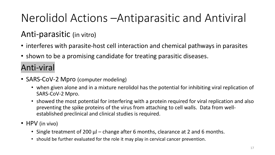# Nerolidol Actions –Antiparasitic and Antiviral

### Anti-parasitic (in vitro)

- interferes with parasite-host cell interaction and chemical pathways in parasites
- shown to be a promising candidate for treating parasitic diseases.

### Anti-viral

- SARS-CoV-2 Mpro (computer modeling)
	- when given alone and in a mixture nerolidol has the potential for inhibiting viral replication of SARS-CoV-2 Mpro.
	- showed the most potential for interfering with a protein required for viral replication and also preventing the spike proteins of the virus from attaching to cell walls. Data from wellestablished preclinical and clinical studies is required.
- HPV (in vivo)
	- Single treatment of 200 μl change after 6 months, clearance at 2 and 6 months.
	- should be further evaluated for the role it may play in cervical cancer prevention.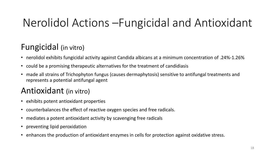## Nerolidol Actions –Fungicidal and Antioxidant

### Fungicidal (in vitro)

- nerolidol exhibits fungicidal activity against Candida albicans at a minimum concentration of .24%-1.26%
- could be a promising therapeutic alternatives for the treatment of candidiasis
- made all strains of Trichophyton fungus (causes dermaphytosis) sensitive to antifungal treatments and represents a potential antifungal agent

### Antioxidant (in vitro)

- exhibits potent antioxidant properties
- counterbalances the effect of reactive oxygen species and free radicals.
- mediates a potent antioxidant activity by scavenging free radicals
- preventing lipid peroxidation
- enhances the production of antioxidant enzymes in cells for protection against oxidative stress.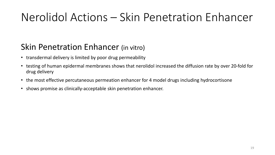## Nerolidol Actions – Skin Penetration Enhancer

### Skin Penetration Enhancer (in vitro)

- transdermal delivery is limited by poor drug permeability
- testing of human epidermal membranes shows that nerolidol increased the diffusion rate by over 20-fold for drug delivery
- the most effective percutaneous permeation enhancer for 4 model drugs including hydrocortisone
- shows promise as clinically-acceptable skin penetration enhancer.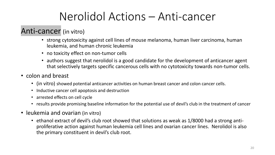## Nerolidol Actions – Anti-cancer

### Anti-cancer (in vitro)

- strong cytotoxicity against cell lines of mouse melanoma, human liver carcinoma, human leukemia, and human chronic leukemia
- no toxicity effect on non-tumor cells
- authors suggest that nerolidol is a good candidate for the development of anticancer agent that selectively targets specific cancerous cells with no cytotoxicity towards non-tumor cells.
- colon and breast
	- (in vitro) showed potential anticancer activities on human breast cancer and colon cancer cells.
	- Inductive cancer cell apoptosis and destruction
	- arrested effects on cell cycle
	- results provide promising baseline information for the potential use of devil's club in the treatment of cancer
- leukemia and ovarian (in vitro)
	- ethanol extract of devil's club root showed that solutions as weak as 1/8000 had a strong antiproliferative action against human leukemia cell lines and ovarian cancer lines. Nerolidol is also the primary constituent in devil's club root.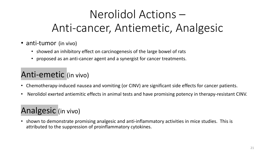# Nerolidol Actions – Anti-cancer, Antiemetic, Analgesic

- anti-tumor (in vivo)
	- showed an inhibitory effect on carcinogenesis of the large bowel of rats
	- proposed as an anti-cancer agent and a synergist for cancer treatments.

### Anti-emetic (in vivo)

- Chemotherapy-induced nausea and vomiting (or CINV) are significant side effects for cancer patients.
- Nerolidol exerted antiemitic effects in animal tests and have promising potency in therapy-resistant CINV.

### Analgesic (in vivo)

• shown to demonstrate promising analgesic and anti-inflammatory activities in mice studies. This is attributed to the suppression of proinflammatory cytokines.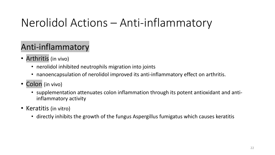## Nerolidol Actions – Anti-inflammatory

### Anti-inflammatory

- Arthritis (in vivo)
	- nerolidol inhibited neutrophils migration into joints
	- nanoencapsulation of nerolidol improved its anti-inflammatory effect on arthritis.
- Colon (in vivo)
	- supplementation attenuates colon inflammation through its potent antioxidant and antiinflammatory activity
- Keratitis (in vitro)
	- directly inhibits the growth of the fungus Aspergillus fumigatus which causes keratitis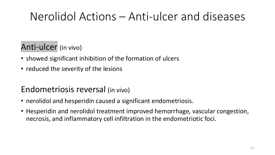## Nerolidol Actions – Anti-ulcer and diseases

### Anti-ulcer (in vivo)

- showed significant inhibition of the formation of ulcers
- reduced the severity of the lesions

### Endometriosis reversal (in vivo)

- nerolidol and hesperidin caused a significant endometriosis.
- Hesperidin and nerolidol treatment improved hemorrhage, vascular congestion, necrosis, and inflammatory cell infiltration in the endometriotic foci.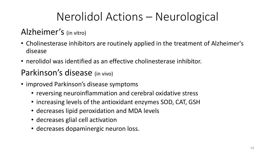## Nerolidol Actions – Neurological

### Alzheimer's (in vitro)

- Cholinesterase inhibitors are routinely applied in the treatment of Alzheimer's disease
- nerolidol was identified as an effective cholinesterase inhibitor.

### Parkinson's disease (in vivo)

- improved Parkinson's disease symptoms
	- reversing neuroinflammation and cerebral oxidative stress
	- increasing levels of the antioxidant enzymes SOD, CAT, GSH
	- decreases lipid peroxidation and MDA levels
	- decreases glial cell activation
	- decreases dopaminergic neuron loss.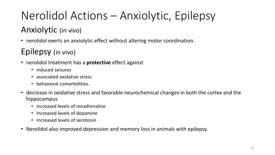# Nerolidol Actions – Anxiolytic, Epilepsy

### Anxiolytic (in vivo)

• nerolidol exerts an anxiolytic effect without altering motor coordination.

### Epilepsy (in vivo)

- nerolidol treatment has a **protective** effect against
	- induced seizures
	- associated oxidative stress
	- behavioral comorbidities.
- decrease in oxidative stress and favorable neurochemical changes in both the cortex and the hippocampus
	- increased levels of noradrenaline
	- Increased levels of dopamine
	- Increased levels of serotonin
- Nerolidol also improved depression and memory loss in animals with epilepsy.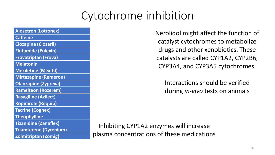## Cytochrome inhibition

| <b>Alosetron (Lotronex)</b>   |
|-------------------------------|
| <b>Caffeine</b>               |
| <b>Clozapine (Clozaril)</b>   |
| <b>Flutamide (Eulexin)</b>    |
| <b>Frovatriptan (Frova)</b>   |
| <b>Melatonin</b>              |
| <b>Mexiletine (Mexitil)</b>   |
| <b>Mirtazapine (Remeron)</b>  |
| <b>Olanzapine (Zyprexa)</b>   |
| Ramelteon (Rozerem)           |
| <b>Rasagiline (Azilect)</b>   |
| <b>Ropinirole (Requip)</b>    |
| <b>Tacrine (Cognex)</b>       |
| <b>Theophylline</b>           |
| <b>Tizanidine (Zanaflex)</b>  |
| <b>Triamterene (Dyrenium)</b> |
| <b>Zolmitriptan (Zomig)</b>   |

Nerolidol might affect the function of catalyst cytochromes to metabolize drugs and other xenobiotics. These catalysts are called CYP1A2, CYP2B6, CYP3A4, and CYP3A5 cytochromes.

Interactions should be verified during *in-vivo* tests on animals

Inhibiting CYP1A2 enzymes will increase plasma concentrations of these medications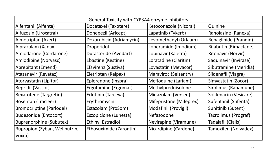| General Toxicity with CYP3A4 enzyme inhibitors |                          |                         |                           |  |
|------------------------------------------------|--------------------------|-------------------------|---------------------------|--|
| Alfentanil (Alfenta)                           | Docetaxel (Taxotere)     | Ketoconazole (Nizoral)  | Quinine                   |  |
| Alfuzosin (Uroxatral)                          | Donepezil (Aricept)      | Lapatinib (Tykerb)      | Ranolazine (Ranexa)       |  |
| Almotriptan (Axert)                            | Doxorubicin (Adriamycin) | Levomethadyl (Orlaam)   | Repaglinide (Prandin)     |  |
| Alprazolam (Xanax)                             | Droperidol               | Loperamide (Imodium)    | Rifabutin (Rimactane)     |  |
| Amiodarone (Cordarone)                         | Dutasteride (Avodart)    | Lopinavir (Kaletra)     | <b>Ritonavir (Norvir)</b> |  |
| Amlodipine (Norvasc)                           | Ebastine (Kestine)       | Loratadine (Claritin)   | Saquinavir (Invirase)     |  |
| Aprepitant (Emend)                             | Efavirenz (Sustiva)      | Lovastatin (Mevacor)    | Sibutramine (Meridia)     |  |
| Atazanavir (Reyataz)                           | Eletriptan (Relpax)      | Maraviroc (Selzentry)   | Sildenafil (Viagra)       |  |
| Atorvastatin (Lipitor)                         | Eplerenone (Inspra)      | Mefloquine (Lariam)     | Simvastatin (Zocor)       |  |
| Bepridil (Vascor)                              | Ergotamine (Ergomar)     | Methylprednisolone      | Sirolimus (Rapamune)      |  |
| Bexarotene (Targretin)                         | Erlotinib (Tarceva)      | Midazolam (Versed)      | Solifenacin (Vesicare)    |  |
| Bosentan (Tracleer)                            | Erythromycin             | Mifepristone (Mifeprex) | Sufentanil (Sufenta)      |  |
| <b>Bromocriptine (Parlodel)</b>                | Estazolam (ProSom)       | Modafinil (Provigil)    | Sunitinib (Sutent)        |  |
| <b>Budesonide (Entocort)</b>                   | Eszopiclone (Lunesta)    | Nefazodone              | Tacrolimus (Prograf)      |  |
| <b>Buprenorphine (Subutex)</b>                 | <b>Ethinyl Estradiol</b> | Nevirapine (Viramune)   | Tadalafil (Cialis)        |  |
| Bupropion (Zyban, Wellbutrin,<br>Voxra)        | Ethosuximide (Zarontin)  | Nicardipine (Cardene)   | Tamoxifen (Nolvadex)      |  |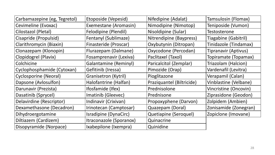| Carbamazepine (eg, Tegretol) | Etoposide (Vepesid)     | Nifedipine (Adalat)       | Tamsulosin (Flomax)         |
|------------------------------|-------------------------|---------------------------|-----------------------------|
| Cevimeline (Evoxac)          | Exemestane (Aromasin)   | Nimodipine (Nimotop)      | Teniposide (Vumon)          |
| Cilostazol (Pletal)          | Felodipine (Plendil)    | Nisoldipine (Sular)       | Testosterone                |
| Cisapride (Propulsid)        | Fentanyl (Sublimaze)    | Nitrendipine (Baypress)   | <b>Tiagabine (Gabitril)</b> |
| Clarithromycin (Biaxin)      | Finasteride (Proscar)   | Oxybutynin (Ditropan)     | Tinidazole (Tindamax)       |
| Clonazepam (Klonopin)        | Flurazepam (Dalmane)    | Oxycodone (Percodan)      | <b>Tipranavir (Aptivus)</b> |
| Clopidogrel (Plavix)         | Fosamprenavir (Lexiva)  | Paclitaxel (Taxol)        | Topiramate (Topamax)        |
| Colchicine                   | Galantamine (Reminyl)   | Paricalcitol (Zemplar)    | Triazolam (Halcion)         |
| Cyclophosphamide (Cytoxan)   | Gefitinib (Iressa)      | Pimozide (Orap)           | Vardenafil (Levitra)        |
| Cyclosporine (Neoral)        | Granisetron (Kytril)    | Pioglitazone              | Verapamil (Calan)           |
| Dapsone (Avlosulfon)         | Halofantrine (Halfan)   | Praziquantel (Biltricide) | Vinblastine (Velbane)       |
| Darunavir (Prezista)         | Ifosfamide (Ifex)       | Prednisolone              | Vincristine (Oncovin)       |
| Dasatinib (Sprycel)          | Imatinib (Gleevec)      | Prednisone                | Ziprasidone (Geodon)        |
| Delavirdine (Rescriptor)     | Indinavir (Crixivan)    | Propoxyphene (Darvon)     | Zolpidem (Ambien)           |
| Dexamethasone (Decadron)     | Irinotecan (Camptosar)  | Quazepam (Doral)          | Zonisamide (Zonegran)       |
| Dihydroergotamine            | Isradipine (DynaCirc)   | Quetiapine (Seroquel)     | Zopiclone (Imovane)         |
| Diltiazem (Cardizem)         | Itraconazole (Sporanox) | Quinacrine                |                             |
| Disopyramide (Norpace)       | Ixabepilone (Ixempra)   | Quinidine                 |                             |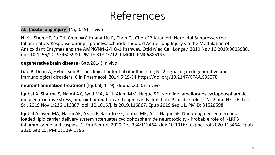## References

#### **ALI (acute lung injury)** (Ni,2019) in vivo

Ni YL, Shen HT, Su CH, Chen WY, Huang-Liu R, Chen CJ, Chen SP, Kuan YH. Nerolidol Suppresses the Inflammatory Response during Lipopolysaccharide-Induced Acute Lung Injury via the Modulation of Antioxidant Enzymes and the AMPK/Nrf-2/HO-1 Pathway. Oxid Med Cell Longev. 2019 Nov 16;2019:9605980. doi: 10.1155/2019/9605980. PMID: 31827712; PMCID: PMC6885193.

#### **degenerative brain disease** (Gao,2014) in vivo

Gao B, Doan A, Hybertson B. The clinical potential of influencing Nrf2 signaling in degenerative and immunological disorders. Clin Pharmacol. 2014;6:19-34.https://doi.org/10.2147/CPAA.S35078

#### **neuroinflammation treatment** (Iqubal,2019); (Iqubal,2020) in vivo

Iqubal A, Sharma S, Najmi AK, Syed MA, Ali J, Alam MM, Haque SE. Nerolidol ameliorates cyclophosphamideinduced oxidative stress, neuroinflammation and cognitive dysfunction: Plausible role of Nrf2 and NF- κB. Life Sci. 2019 Nov 1;236:116867. doi: 10.1016/j.lfs.2019.116867. Epub 2019 Sep 11. PMID: 31520598.

Iqubal A, Syed MA, Najmi AK, Azam F, Barreto GE, Iqubal MK, Ali J, Haque SE. Nano-engineered nerolidol loaded lipid carrier delivery system attenuates cyclophosphamide neurotoxicity - Probable role of NLRP3 inflammasome and caspase-1. Exp Neurol. 2020 Dec;334:113464. doi: 10.1016/j.expneurol.2020.113464. Epub 2020 Sep 15. PMID: 32941795.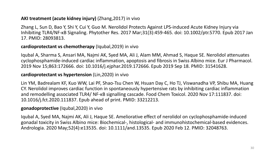#### **AKI treatment (acute kidney injury)** (Zhang,2017) in vivo

Zhang L, Sun D, Bao Y, Shi Y, Cui Y, Guo M. Nerolidol Protects Against LPS-induced Acute Kidney Injury via Inhibiting TLR4/NF-κB Signaling. Phytother Res. 2017 Mar;31(3):459-465. doi: 10.1002/ptr.5770. Epub 2017 Jan 17. PMID: 28093813.

#### **cardioprotectant vs chemotherapy** (Iqubal,2019) in vivo

Iqubal A, Sharma S, Ansari MA, Najmi AK, Syed MA, Ali J, Alam MM, Ahmad S, Haque SE. Nerolidol attenuates cyclophosphamide-induced cardiac inflammation, apoptosis and fibrosis in Swiss Albino mice. Eur J Pharmacol. 2019 Nov 15;863:172666. doi: 10.1016/j.ejphar.2019.172666. Epub 2019 Sep 18. PMID: 31541628.

#### **cardioprotectant vs hypertension** (Lin,2020) in vivo

Lin YM, Badrealam KF, Kuo WW, Lai PF, Shao-Tsu Chen W, Hsuan Day C, Ho TJ, Viswanadha VP, Shibu MA, Huang CY. Nerolidol improves cardiac function in spontaneously hypertensive rats by inhibiting cardiac inflammation and remodelling associated TLR4/ NF-κB signalling cascade. Food Chem Toxicol. 2020 Nov 17:111837. doi: 10.1016/j.fct.2020.111837. Epub ahead of print. PMID: 33212213.

#### **gonadoprotective** (Iqubal,2020) in vivo

Iqubal A, Syed MA, Najmi AK, Ali J, Haque SE. Ameliorative effect of nerolidol on cyclophosphamide-induced gonadal toxicity in Swiss Albino mice: Biochemical-, histological- and immunohistochemical-based evidences. Andrologia. 2020 May;52(4):e13535. doi: 10.1111/and.13535. Epub 2020 Feb 12. PMID: 32048763.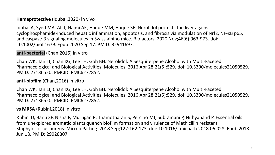### **Hemaprotective** (Iqubal,2020) in vivo

Iqubal A, Syed MA, Ali J, Najmi AK, Haque MM, Haque SE. Nerolidol protects the liver against cyclophosphamide-induced hepatic inflammation, apoptosis, and fibrosis via modulation of Nrf2, NF-κB p65, and caspase-3 signaling molecules in Swiss albino mice. Biofactors. 2020 Nov;46(6):963-973. doi: 10.1002/biof.1679. Epub 2020 Sep 17. PMID: 32941697.

### **anti-bacterial** (Chan,2016) in vitro

Chan WK, Tan LT, Chan KG, Lee LH, Goh BH. Nerolidol: A Sesquiterpene Alcohol with Multi-Faceted Pharmacological and Biological Activities. Molecules. 2016 Apr 28;21(5):529. doi: 10.3390/molecules21050529. PMID: 27136520; PMCID: PMC6272852.

### **anti-biofilm** (Chan,2016) in vitro

Chan WK, Tan LT, Chan KG, Lee LH, Goh BH. Nerolidol: A Sesquiterpene Alcohol with Multi-Faceted Pharmacological and Biological Activities. Molecules. 2016 Apr 28;21(5):529. doi: 10.3390/molecules21050529. PMID: 27136520; PMCID: PMC6272852.

### **vs MRSA** (Rubini,2018) in vitro

Rubini D, Banu SF, Nisha P, Murugan R, Thamotharan S, Percino MJ, Subramani P, Nithyanand P. Essential oils from unexplored aromatic plants quench biofilm formation and virulence of Methicillin resistant Staphylococcus aureus. Microb Pathog. 2018 Sep;122:162-173. doi: 10.1016/j.micpath.2018.06.028. Epub 2018 Jun 18. PMID: 29920307.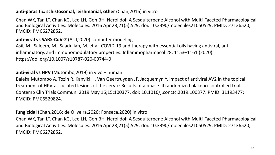#### **anti-parasitic: schistosomal, leishmanial, other** (Chan,2016) in vitro

Chan WK, Tan LT, Chan KG, Lee LH, Goh BH. Nerolidol: A Sesquiterpene Alcohol with Multi-Faceted Pharmacological and Biological Activities. Molecules. 2016 Apr 28;21(5):529. doi: 10.3390/molecules21050529. PMID: 27136520; PMCID: PMC6272852.

**anti-viral vs SARS-CoV-2** (Asif,2020) computer modeling

Asif, M., Saleem, M., Saadullah, M. et al. COVID-19 and therapy with essential oils having antiviral, antiinflammatory, and immunomodulatory properties. Inflammopharmacol 28, 1153–1161 (2020). https://doi.org/10.1007/s10787-020-00744-0

#### **anti-viral vs HPV** (Mutombo,2019) in vivo – human

Baleka Mutombo A, Tozin R, Kanyiki H, Van Geertruyden JP, Jacquemyn Y. Impact of antiviral AV2 in the topical treatment of HPV-associated lesions of the cervix: Results of a phase III randomized placebo-controlled trial. Contemp Clin Trials Commun. 2019 May 16;15:100377. doi: 10.1016/j.conctc.2019.100377. PMID: 31193477; PMCID: PMC6529824.

#### **fungicidal** (Chan,2016; de Oliveira,2020; Fonseca,2020) in vitro

Chan WK, Tan LT, Chan KG, Lee LH, Goh BH. Nerolidol: A Sesquiterpene Alcohol with Multi-Faceted Pharmacological and Biological Activities. Molecules. 2016 Apr 28;21(5):529. doi: 10.3390/molecules21050529. PMID: 27136520; PMCID: PMC6272852.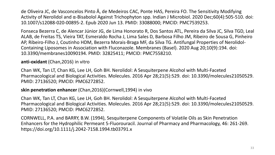de Oliveira JC, de Vasconcelos Pinto Â, de Medeiros CAC, Ponte HAS, Pereira FO. The Sensitivity Modifying Activity of Nerolidol and α-Bisabolol Against Trichophyton spp. Indian J Microbiol. 2020 Dec;60(4):505-510. doi: 10.1007/s12088-020-00895-2. Epub 2020 Jun 13. PMID: 33088000; PMCID: PMC7539253.

Fonseca Bezerra C, de Alencar Júnior JG, de Lima Honorato R, Dos Santos ATL, Pereira da Silva JC, Silva TGD, Leal ALAB, de Freitas TS, Vieira TAT, Esmeraldo Rocha J, Lima Sales D, Barbosa Filho JM, Ribeiro de Sousa G, Pinheiro AP, Ribeiro-Filho J, Coutinho HDM, Bezerra Morais-Braga MF, da Silva TG. Antifungal Properties of Nerolidol-Containing Liposomes in Association with Fluconazole. Membranes (Basel). 2020 Aug 20;10(9):194. doi: 10.3390/membranes10090194. PMID: 32825411; PMCID: PMC7558210.

#### **anti-oxidant** (Chan,2016) in vitro

Chan WK, Tan LT, Chan KG, Lee LH, Goh BH. Nerolidol: A Sesquiterpene Alcohol with Multi-Faceted Pharmacological and Biological Activities. Molecules. 2016 Apr 28;21(5):529. doi: 10.3390/molecules21050529. PMID: 27136520; PMCID: PMC6272852.

#### **skin penetration enhancer** (Chan,2016)(Cornwell,1994) in vivo

Chan WK, Tan LT, Chan KG, Lee LH, Goh BH. Nerolidol: A Sesquiterpene Alcohol with Multi-Faceted Pharmacological and Biological Activities. Molecules. 2016 Apr 28;21(5):529. doi: 10.3390/molecules21050529. PMID: 27136520; PMCID: PMC6272852.

CORNWELL, P.A. and BARRY, B.W. (1994), Sesquiterpene Components of Volatile Oils as Skin Penetration Enhancers for the Hydrophilic Permeant 5‐Fluorouracil. Journal of Pharmacy and Pharmacology, 46: 261-269. https://doi.org/10.1111/j.2042-7158.1994.tb03791.x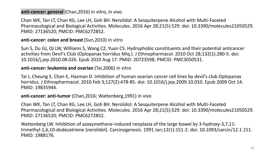#### **anti-cancer: general** (Chan,2016) in vitro, in vivo

Chan WK, Tan LT, Chan KG, Lee LH, Goh BH. Nerolidol: A Sesquiterpene Alcohol with Multi-Faceted Pharmacological and Biological Activities. Molecules. 2016 Apr 28;21(5):529. doi: 10.3390/molecules21050529. PMID: 27136520; PMCID: PMC6272852.

#### **anti-cancer: colon and breast** (Sun,2010) in vitro

Sun S, Du GJ, Qi LW, Williams S, Wang CZ, Yuan CS. Hydrophobic constituents and their potential anticancer activities from Devil's Club (Oplopanax horridus Miq.). J Ethnopharmacol. 2010 Oct 28;132(1):280-5. doi: 10.1016/j.jep.2010.08.026. Epub 2010 Aug 17. PMID: 20723598; PMCID: PMC3050531.

#### **anti-cancer: leukemia and ovarian** (Tai,2006) in vitro

Tai J, Cheung S, Chan E, Hasman D. Inhibition of human ovarian cancer cell lines by devil's club Oplopanax horridus. J Ethnopharmacol. 2010 Feb 3;127(2):478-85. doi: 10.1016/j.jep.2009.10.010. Epub 2009 Oct 14. PMID: 19835944.

#### **anti-cancer: anti-tumor** (Chan,2016; Wattenberg,1991) in vivo

Chan WK, Tan LT, Chan KG, Lee LH, Goh BH. Nerolidol: A Sesquiterpene Alcohol with Multi-Faceted Pharmacological and Biological Activities. Molecules. 2016 Apr 28;21(5):529. doi: 10.3390/molecules21050529. PMID: 27136520; PMCID: PMC6272852.

Wattenberg LW. Inhibition of azoxymethane-induced neoplasia of the large bowel by 3-hydroxy-3,7,11 trimethyl-1,6,10-dodecatriene (nerolidol). Carcinogenesis. 1991 Jan;12(1):151-2. doi: 10.1093/carcin/12.1.151. PMID: 1988176.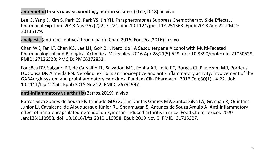#### **antiemetic (treats nausea, vomiting, motion sickness)** (Lee,2018) in vivo

Lee G, Yang E, Kim S, Park CS, Park YS, Jin YH. Parapheromones Suppress Chemotherapy Side Effects. J Pharmacol Exp Ther. 2018 Nov;367(2):215-221. doi: 10.1124/jpet.118.251363. Epub 2018 Aug 22. PMID: 30135179.

**analgesic** (anti-nociceptive/chronic pain) (Chan,2016; Fonsêca,2016) in vivo

Chan WK, Tan LT, Chan KG, Lee LH, Goh BH. Nerolidol: A Sesquiterpene Alcohol with Multi-Faceted Pharmacological and Biological Activities. Molecules. 2016 Apr 28;21(5):529. doi: 10.3390/molecules21050529. PMID: 27136520; PMCID: PMC6272852.

Fonsêca DV, Salgado PR, de Carvalho FL, Salvadori MG, Penha AR, Leite FC, Borges CJ, Piuvezam MR, Pordeus LC, Sousa DP, Almeida RN. Nerolidol exhibits antinociceptive and anti-inflammatory activity: involvement of the GABAergic system and proinflammatory cytokines. Fundam Clin Pharmacol. 2016 Feb;30(1):14-22. doi: 10.1111/fcp.12166. Epub 2015 Nov 22. PMID: 26791997.

#### **anti-inflammatory vs arthritis** (Barros,2019) in vivo

Barros Silva Soares de Souza EP, Trindade GDGG, Lins Dantas Gomes MV, Santos Silva LA, Grespan R, Quintans Junior LJ, Cavalcanti de Albuquerque Júnior RL, Shanmugan S, Antunes de Souza Araújo A. Anti-inflammatory effect of nano-encapsulated nerolidol on zymosan-induced arthritis in mice. Food Chem Toxicol. 2020 Jan;135:110958. doi: 10.1016/j.fct.2019.110958. Epub 2019 Nov 9. PMID: 31715307.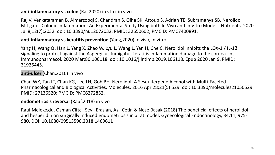#### **anti-inflammatory vs colon** (Raj,2020) in vtro, in vivo

Raj V, Venkataraman B, Almarzooqi S, Chandran S, Ojha SK, Attoub S, Adrian TE, Subramanya SB. Nerolidol Mitigates Colonic Inflammation: An Experimental Study Using both In Vivo and In Vitro Models. Nutrients. 2020 Jul 8;12(7):2032. doi: 10.3390/nu12072032. PMID: 32650602; PMCID: PMC7400891.

#### **anti-inflammatory vs keratitis prevention** (Yang,2020) in vivo, in vitro

Yang H, Wang Q, Han L, Yang X, Zhao W, Lyu L, Wang L, Yan H, Che C. Nerolidol inhibits the LOX-1 / IL-1β signaling to protect against the Aspergillus fumigatus keratitis inflammation damage to the cornea. Int Immunopharmacol. 2020 Mar;80:106118. doi: 10.1016/j.intimp.2019.106118. Epub 2020 Jan 9. PMID: 31926445.

#### **anti-ulcer** (Chan,2016) in vivo

Chan WK, Tan LT, Chan KG, Lee LH, Goh BH. Nerolidol: A Sesquiterpene Alcohol with Multi-Faceted Pharmacological and Biological Activities. Molecules. 2016 Apr 28;21(5):529. doi: 10.3390/molecules21050529. PMID: 27136520; PMCID: PMC6272852.

#### **endometriosis reversal** (Rauf,2018) in vivo

Rauf Melekoglu, Osman Ciftci, Sevil Eraslan, Aslı Cetin & Nese Basak (2018) The beneficial effects of nerolidol and hesperidin on surgically induced endometriosis in a rat model, Gynecological Endocrinology, 34:11, 975- 980, DOI: 10.1080/09513590.2018.1469611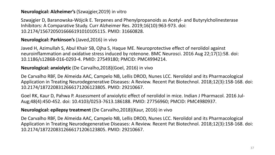#### **Neurological: Alzheimer's** (Szwajgier,2019) in vitro

Szwajgier D, Baranowska-Wójcik E. Terpenes and Phenylpropanoids as Acetyl- and Butyrylcholinesterase Inhibitors: A Comparative Study. Curr Alzheimer Res. 2019;16(10):963-973. doi: 10.2174/1567205016666191010105115. PMID: 31660828.

#### **Neurological: Parkinson's** (Javed,2016) in vivo

Javed H, Azimullah S, Abul Khair SB, Ojha S, Haque ME. Neuroprotective effect of nerolidol against neuroinflammation and oxidative stress induced by rotenone. BMC Neurosci. 2016 Aug 22;17(1):58. doi: 10.1186/s12868-016-0293-4. PMID: 27549180; PMCID: PMC4994214.

#### **Neurological: anxiolytic** (De Carvalho,2018)(Goel, 2016) in vivo

De Carvalho RBF, De Almeida AAC, Campelo NB, Lellis DROD, Nunes LCC. Nerolidol and its Pharmacological Application in Treating Neurodegenerative Diseases: A Review. Recent Pat Biotechnol. 2018;12(3):158-168. doi: 10.2174/1872208312666171206123805. PMID: 29210667.

Goel RK, Kaur D, Pahwa P. Assessment of anxiolytic effect of nerolidol in mice. Indian J Pharmacol. 2016 Jul-Aug;48(4):450-452. doi: 10.4103/0253-7613.186188. PMID: 27756960; PMCID: PMC4980937.

#### **Neurological: epilepsy treatment** (De Carvalho,2018)(Kaur, 2016) in vivo

De Carvalho RBF, De Almeida AAC, Campelo NB, Lellis DROD, Nunes LCC. Nerolidol and its Pharmacological Application in Treating Neurodegenerative Diseases: A Review. Recent Pat Biotechnol. 2018;12(3):158-168. doi: 10.2174/1872208312666171206123805. PMID: 29210667.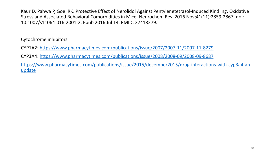Kaur D, Pahwa P, Goel RK. Protective Effect of Nerolidol Against Pentylenetetrazol-Induced Kindling, Oxidative Stress and Associated Behavioral Comorbidities in Mice. Neurochem Res. 2016 Nov;41(11):2859-2867. doi: 10.1007/s11064-016-2001-2. Epub 2016 Jul 14. PMID: 27418279.

Cytochrome inhibitors:

CYP1A2:<https://www.pharmacytimes.com/publications/issue/2007/2007-11/2007-11-8279>

CYP3A4:<https://www.pharmacytimes.com/publications/issue/2008/2008-09/2008-09-8687>

[https://www.pharmacytimes.com/publications/issue/2015/december2015/drug-interactions-with-cyp3a4-an](https://www.pharmacytimes.com/publications/issue/2015/december2015/drug-interactions-with-cyp3a4-an-update)update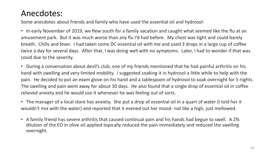### Anecdotes:

Some anecdotes about friends and family who have used the essential oil and hydrosol:

• In early November of 2019, we flew south for a family vacation and caught what seemed like the flu at an amusement park. But it was much worse than any flu I'd had before. My chest was tight and could barely breath. Chills and fever. I had taken some DC essential oil with me and used 3 drops in a large cup of coffee twice a day for several days. After that, I was doing well with no symptoms. Later, I had to wonder if that was covid due to the severity.

• During a conversation about devil's club, one of my friends mentioned that he had painful arthritis on his hand with swelling and very limited mobility. I suggested soaking it in hydrosol a little while to help with the pain. He decided to put an exam glove on his hand and a tablespoon of hydrosol to soak overnight for 5 nights. The swelling and pain went away for about 30 days. He also found that a single drop of essential oil in coffee relieved anxiety and he would use it whenever he was feeling out of sorts.

• The manager of a local store has anxiety. She put a drop of essential oil in a quart of water (I told her it wouldn't mix with the water) and reported that it evened out her mood- not like a high, just mellowed.

• A family friend has severe arthritis that caused continual pain and his hands had begun to swell. A 2% dilution of the EO in olive oil applied topically reduced the pain immediately and reduced the swelling overnight.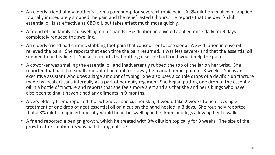- An elderly friend of my mother's is on a pain pump for severe chronic pain. A 3% dilution in olive oil applied topically immediately stopped the pain and the relief lasted 6 hours. He reports that the devil's club essential oil is as effective as CBD oil, but takes effect much more quickly.
- A friend of the family had swelling on his hands. 3% dilution in olive oil applied once daily for 3 days completely reduced the swelling.
- An elderly friend had chronic stabbing foot pain that caused her to lose sleep. A 3% dilution in olive oil relieved the pain. She reports that each time the pain returned, it was less severe- and that the essential oil seemed to be healing it. She also reports that nothing else she had tried would help the pain.
- A coworker was smelling the essential oil and inadvertently rubbed the top of the jar on her wrist. She reported that just that small amount of neat oil took away her carpal tunnel pain for 3 weeks. She is an executive assistant who does a large amount of typing. She also uses a couple drops of a devil's club tincture made by local artisans internally as a part of her daily regimen. She began putting one drop of the essential oil in a bottle of tincture and reports that she feels more alert and als that she and her siblings who have also been taking it haven't had any ailments in 9 months.
- A very elderly friend reported that whenever she cut her skin, it would take 2 weeks to heal. A single treatment of one drop of neat essential oil on a cut on the hand healed in 3 days. She routinely reported that a 3% dilution applied topically would help the swelling in her knee and legs allowing her to walk.
- A friend reported a benign growth, which he treated with 3% dilution topically for 3 weeks. The size of the growth after treatments was half its original size.